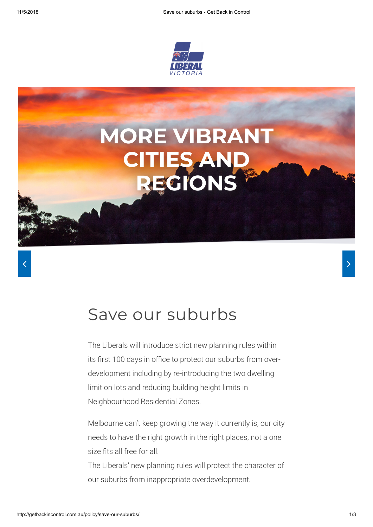



## Save our suburbs

The Liberals will introduce strict new planning rules within its first 100 days in office to protect our suburbs from overdevelopment including by re-introducing the two dwelling limit on lots and reducing building height limits in Neighbourhood Residential Zones.

Melbourne can't keep growing the way it currently is, our city needs to have the right growth in the right places, not a one size fits all free for all.

The Liberals' new planning rules will protect the character of our suburbs from inappropriate overdevelopment.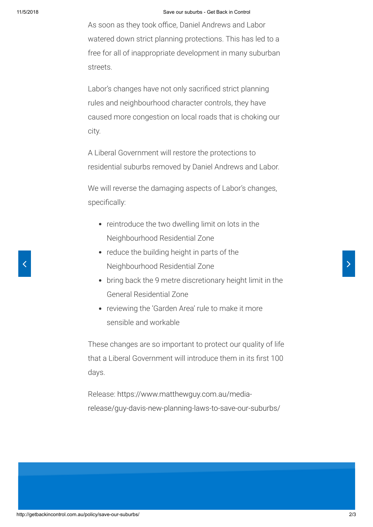As soon as they took office, Daniel Andrews and Labor watered down strict planning protections. This has led to a free for all of inappropriate development in many suburban streets.

Labor's changes have not only sacrificed strict planning rules and neighbourhood character controls, they have caused more congestion on local roads that is choking our city.

A Liberal Government will restore the protections to residential suburbs removed by Daniel Andrews and Labor.

We will reverse the damaging aspects of Labor's changes, specifically:

- reintroduce the two dwelling limit on lots in the Neighbourhood Residential Zone
- reduce the building height in parts of the < Neighbourhood Residential Zone
	- bring back the 9 metre discretionary height limit in the General Residential Zone
	- reviewing the 'Garden Area' rule to make it more sensible and workable

These changes are so important to protect our quality of life that a Liberal Government will introduce them in its first 100 days.

Release: https://www.matthewguy.com.au/media[release/guy-davis-new-planning-laws-to-save-our-suburbs/](https://www.matthewguy.com.au/media-release/guy-davis-new-planning-laws-to-save-our-suburbs/)